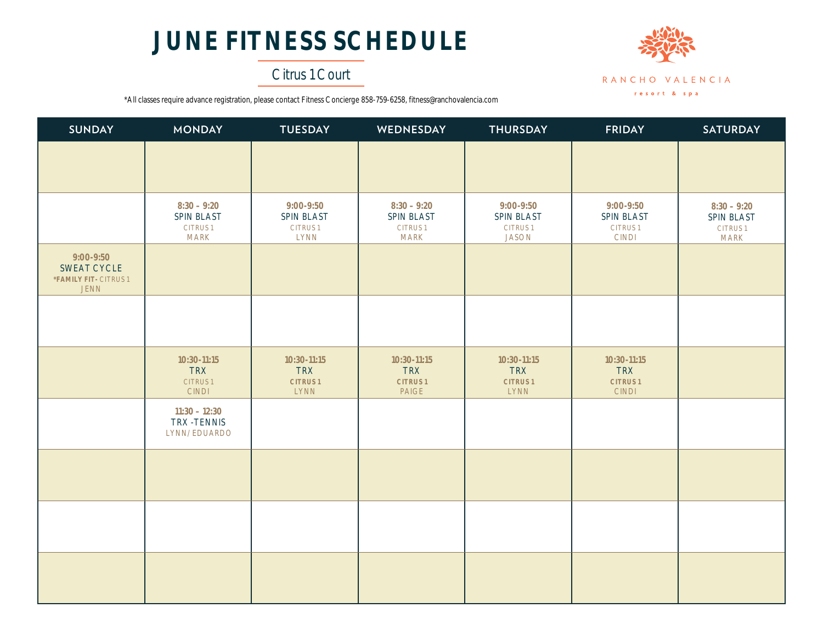# **JUNE FITNESS SCHEDULE**

## Citrus 1 Court



\*All classes require advance registration, please contact Fitness Concierge 858-759-6258, fitness@ranchovalencia.com

| SUNDAY                                                           | <b>MONDAY</b>                                                | <b>TUESDAY</b>                                             | WEDNESDAY                                                    | <b>THURSDAY</b>                                           | <b>FRIDAY</b>                                               | <b>SATURDAY</b>                                              |
|------------------------------------------------------------------|--------------------------------------------------------------|------------------------------------------------------------|--------------------------------------------------------------|-----------------------------------------------------------|-------------------------------------------------------------|--------------------------------------------------------------|
|                                                                  |                                                              |                                                            |                                                              |                                                           |                                                             |                                                              |
|                                                                  |                                                              |                                                            |                                                              |                                                           |                                                             |                                                              |
|                                                                  | $8:30 - 9:20$<br>SPIN BLAST<br><b>CITRUS1</b><br><b>MARK</b> | 9:00-9:50<br>SPIN BLAST<br><b>CITRUS1</b><br><b>LYNN</b>   | $8:30 - 9:20$<br>SPIN BLAST<br><b>CITRUS1</b><br><b>MARK</b> | 9:00-9:50<br>SPIN BLAST<br><b>CITRUS1</b><br><b>JASON</b> | 9:00-9:50<br>SPIN BLAST<br><b>CITRUS1</b><br><b>CINDI</b>   | $8:30 - 9:20$<br>SPIN BLAST<br><b>CITRUS1</b><br><b>MARK</b> |
| 9:00-9:50<br>SWEAT CYCLE<br>*FAMILY FIT- CITRUS 1<br><b>JENN</b> |                                                              |                                                            |                                                              |                                                           |                                                             |                                                              |
|                                                                  |                                                              |                                                            |                                                              |                                                           |                                                             |                                                              |
|                                                                  | 10:30-11:15<br><b>TRX</b><br><b>CITRUS1</b><br><b>CINDI</b>  | 10:30-11:15<br><b>TRX</b><br><b>CITRUS1</b><br><b>LYNN</b> | 10:30-11:15<br><b>TRX</b><br><b>CITRUS1</b><br>PAIGE         | 10:30-11:15<br><b>TRX</b><br><b>CITRUS1</b><br>LYNN       | 10:30-11:15<br><b>TRX</b><br><b>CITRUS1</b><br><b>CINDI</b> |                                                              |
|                                                                  | $11:30 - 12:30$<br>TRX -TENNIS<br><b>LYNN/EDUARDO</b>        |                                                            |                                                              |                                                           |                                                             |                                                              |
|                                                                  |                                                              |                                                            |                                                              |                                                           |                                                             |                                                              |
|                                                                  |                                                              |                                                            |                                                              |                                                           |                                                             |                                                              |
|                                                                  |                                                              |                                                            |                                                              |                                                           |                                                             |                                                              |